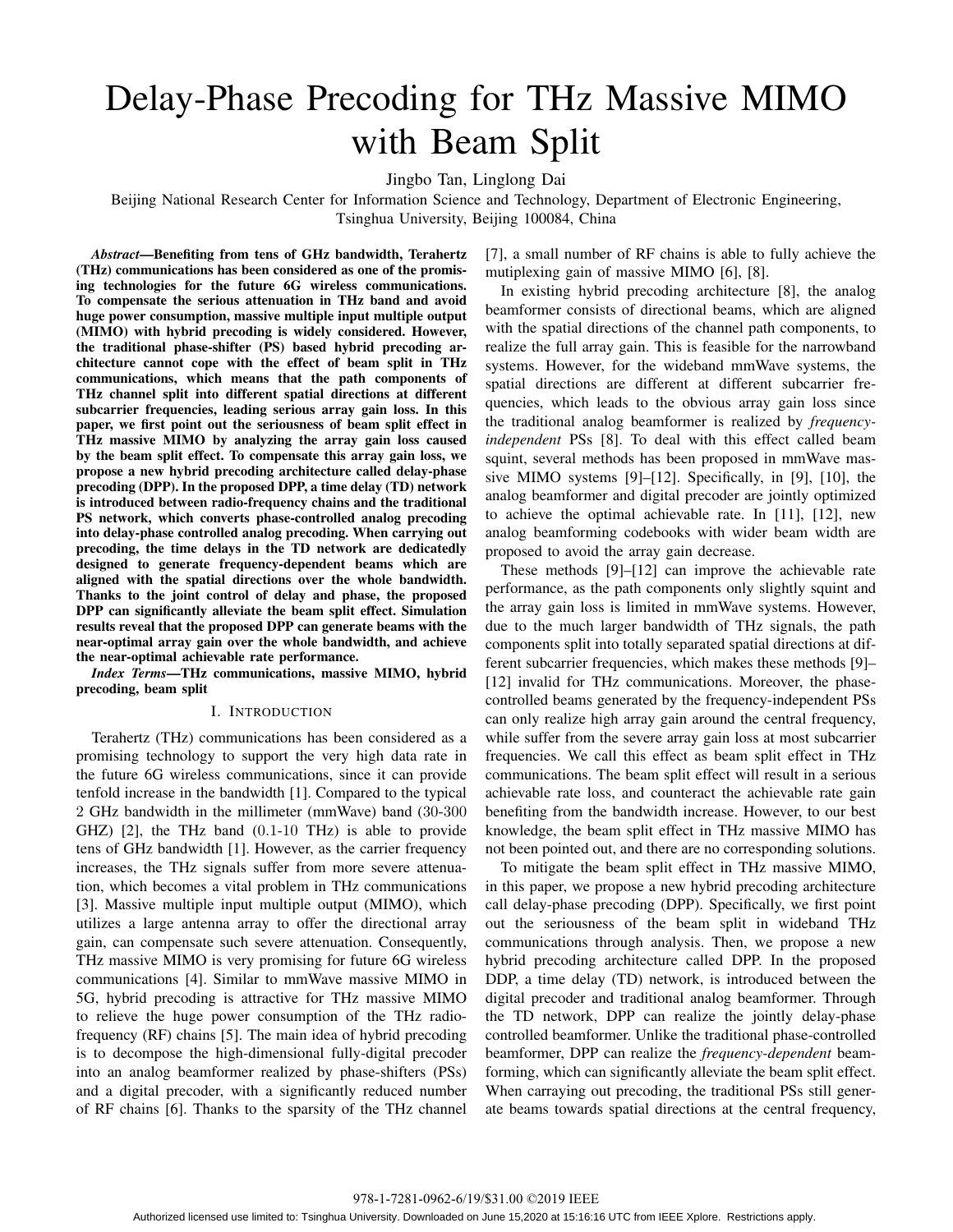# Delay-Phase Precoding for THz Massive MIMO with Beam Split

Jingbo Tan, Linglong Dai

Beijing National Research Center for Information Science and Technology, Department of Electronic Engineering, Tsinghua University, Beijing 100084, China

*Abstract*—Benefiting from tens of GHz bandwidth, Terahertz (THz) communications has been considered as one of the promising technologies for the future 6G wireless communications. To compensate the serious attenuation in THz band and avoid huge power consumption, massive multiple input multiple output (MIMO) with hybrid precoding is widely considered. However, the traditional phase-shifter (PS) based hybrid precoding architecture cannot cope with the effect of beam split in THz communications, which means that the path components of THz channel split into different spatial directions at different subcarrier frequencies, leading serious array gain loss. In this paper, we first point out the seriousness of beam split effect in THz massive MIMO by analyzing the array gain loss caused by the beam split effect. To compensate this array gain loss, we propose a new hybrid precoding architecture called delay-phase precoding (DPP). In the proposed DPP, a time delay (TD) network is introduced between radio-frequency chains and the traditional PS network, which converts phase-controlled analog precoding into delay-phase controlled analog precoding. When carrying out precoding, the time delays in the TD network are dedicatedly designed to generate frequency-dependent beams which are aligned with the spatial directions over the whole bandwidth. Thanks to the joint control of delay and phase, the proposed DPP can significantly alleviate the beam split effect. Simulation results reveal that the proposed DPP can generate beams with the near-optimal array gain over the whole bandwidth, and achieve the near-optimal achievable rate performance.

*Index Terms*—THz communications, massive MIMO, hybrid precoding, beam split

#### I. INTRODUCTION

Terahertz (THz) communications has been considered as a promising technology to support the very high data rate in the future 6G wireless communications, since it can provide tenfold increase in the bandwidth [1]. Compared to the typical 2 GHz bandwidth in the millimeter (mmWave) band (30-300 GHZ) [2], the THz band (0*.*1-10 THz) is able to provide tens of GHz bandwidth [1]. However, as the carrier frequency increases, the THz signals suffer from more severe attenuation, which becomes a vital problem in THz communications [3]. Massive multiple input multiple output (MIMO), which utilizes a large antenna array to offer the directional array gain, can compensate such severe attenuation. Consequently, THz massive MIMO is very promising for future 6G wireless communications [4]. Similar to mmWave massive MIMO in 5G, hybrid precoding is attractive for THz massive MIMO to relieve the huge power consumption of the THz radiofrequency (RF) chains [5]. The main idea of hybrid precoding is to decompose the high-dimensional fully-digital precoder into an analog beamformer realized by phase-shifters (PSs) and a digital precoder, with a significantly reduced number of RF chains [6]. Thanks to the sparsity of the THz channel [7], a small number of RF chains is able to fully achieve the mutiplexing gain of massive MIMO [6], [8].

In existing hybrid precoding architecture [8], the analog beamformer consists of directional beams, which are aligned with the spatial directions of the channel path components, to realize the full array gain. This is feasible for the narrowband systems. However, for the wideband mmWave systems, the spatial directions are different at different subcarrier frequencies, which leads to the obvious array gain loss since the traditional analog beamformer is realized by *frequencyindependent* PSs [8]. To deal with this effect called beam squint, several methods has been proposed in mmWave massive MIMO systems [9]–[12]. Specifically, in [9], [10], the analog beamformer and digital precoder are jointly optimized to achieve the optimal achievable rate. In [11], [12], new analog beamforming codebooks with wider beam width are proposed to avoid the array gain decrease.

These methods [9]–[12] can improve the achievable rate performance, as the path components only slightly squint and the array gain loss is limited in mmWave systems. However, due to the much larger bandwidth of THz signals, the path components split into totally separated spatial directions at different subcarrier frequencies, which makes these methods [9]– [12] invalid for THz communications. Moreover, the phasecontrolled beams generated by the frequency-independent PSs can only realize high array gain around the central frequency, while suffer from the severe array gain loss at most subcarrier frequencies. We call this effect as beam split effect in THz communications. The beam split effect will result in a serious achievable rate loss, and counteract the achievable rate gain benefiting from the bandwidth increase. However, to our best knowledge, the beam split effect in THz massive MIMO has not been pointed out, and there are no corresponding solutions.

To mitigate the beam split effect in THz massive MIMO, in this paper, we propose a new hybrid precoding architecture call delay-phase precoding (DPP). Specifically, we first point out the seriousness of the beam split in wideband THz communications through analysis. Then, we propose a new hybrid precoding architecture called DPP. In the proposed DDP, a time delay (TD) network, is introduced between the digital precoder and traditional analog beamformer. Through the TD network, DPP can realize the jointly delay-phase controlled beamformer. Unlike the traditional phase-controlled beamformer, DPP can realize the *frequency-dependent* beamforming, which can significantly alleviate the beam split effect. When carraying out precoding, the traditional PSs still generate beams towards spatial directions at the central frequency,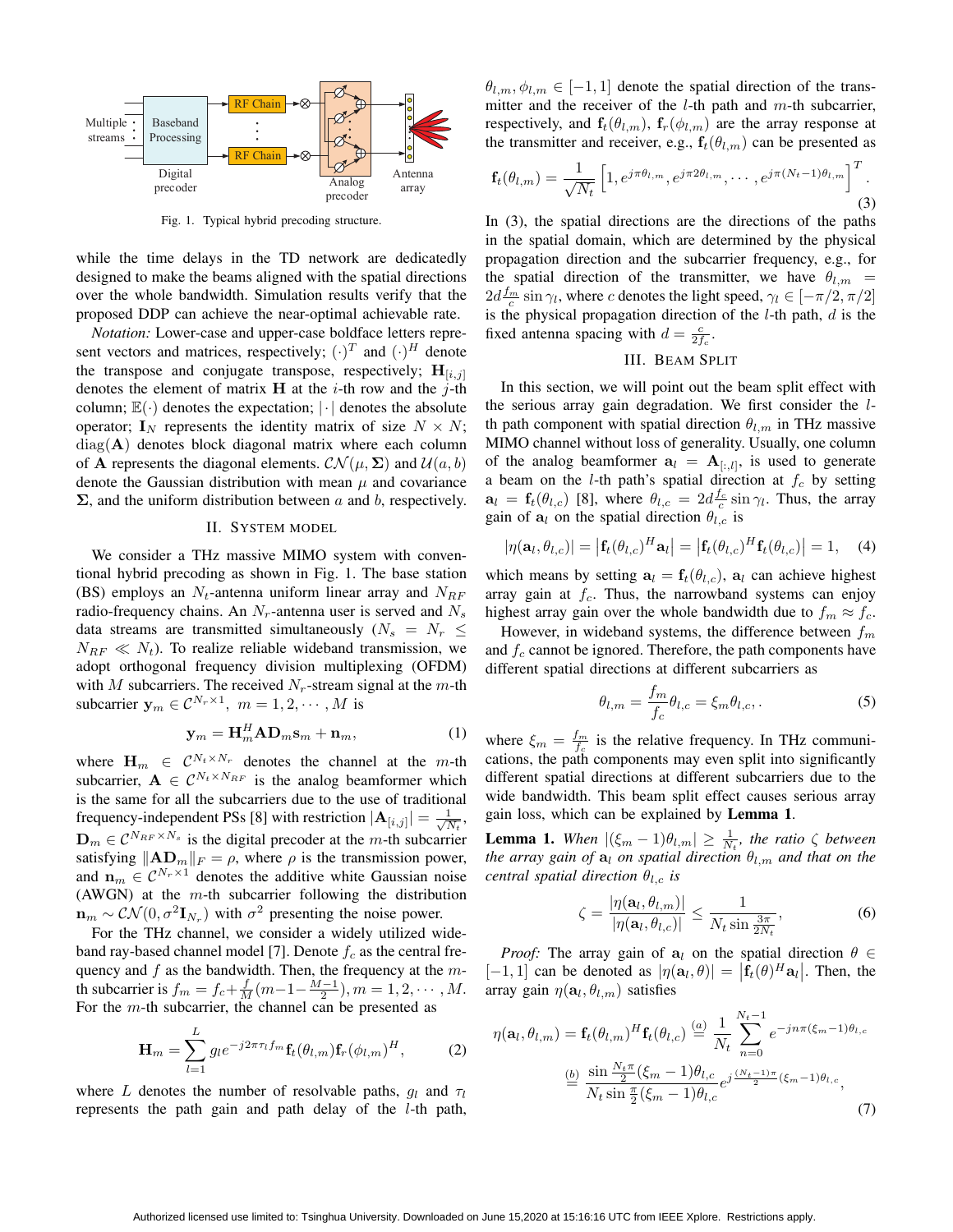

Fig. 1. Typical hybrid precoding structure.

while the time delays in the TD network are dedicatedly designed to make the beams aligned with the spatial directions over the whole bandwidth. Simulation results verify that the proposed DDP can achieve the near-optimal achievable rate.

*Notation:* Lower-case and upper-case boldface letters represent vectors and matrices, respectively;  $(\cdot)^T$  and  $(\cdot)^H$  denote the transpose and conjugate transpose, respectively;  $H_{[i,j]}$ denotes the element of matrix **H** at the *i*-th row and the *j*-th column; E(*·*) denotes the expectation; *|·|* denotes the absolute operator;  $\mathbf{I}_N$  represents the identity matrix of size  $N \times N$ ; diag(**A**) denotes block diagonal matrix where each column of **A** represents the diagonal elements.  $CN(\mu, \Sigma)$  and  $U(a, b)$ denote the Gaussian distribution with mean  $\mu$  and covariance **Σ**, and the uniform distribution between *a* and *b*, respectively.

#### II. SYSTEM MODEL

We consider a THz massive MIMO system with conventional hybrid precoding as shown in Fig. 1. The base station (BS) employs an *Nt*-antenna uniform linear array and *NRF* radio-frequency chains. An *Nr*-antenna user is served and *N<sup>s</sup>* data streams are transmitted simultaneously ( $N_s = N_r \leq$  $N_{RF} \ll N_t$ ). To realize reliable wideband transmission, we adopt orthogonal frequency division multiplexing (OFDM) with *M* subcarriers. The received *Nr*-stream signal at the *m*-th subcarrier  $y_m \in C^{N_r \times 1}$ ,  $m = 1, 2, \dots, M$  is

$$
\mathbf{y}_m = \mathbf{H}_m^H \mathbf{A} \mathbf{D}_m \mathbf{s}_m + \mathbf{n}_m, \tag{1}
$$

where  $\mathbf{H}_m \in C^{N_t \times N_r}$  denotes the channel at the *m*-th subcarrier,  $A \in \mathcal{C}^{N_t \times N_{RF}}$  is the analog beamformer which is the same for all the subcarriers due to the use of traditional frequency-independent PSs [8] with restriction  $|\mathbf{A}_{[i,j]}| = \frac{1}{\sqrt{N}}$  $\frac{1}{N_t}$ ,  $\mathbf{D}_m \in \mathcal{C}^{N_{RF} \times N_s}$  is the digital precoder at the *m*-th subcarrier satisfying  $||AD_m||_F = \rho$ , where  $\rho$  is the transmission power, and  $\mathbf{n}_m \in \mathcal{C}^{N_r \times 1}$  denotes the additive white Gaussian noise (AWGN) at the *m*-th subcarrier following the distribution  $\mathbf{n}_m \sim \mathcal{CN}(0, \sigma^2 \mathbf{I}_{N_r})$  with  $\sigma^2$  presenting the noise power.

For the THz channel, we consider a widely utilized wideband ray-based channel model [7]. Denote *f<sup>c</sup>* as the central frequency and *f* as the bandwidth. Then, the frequency at the *m*th subcarrier is  $f_m = f_c + \frac{f}{M}(m-1-\frac{M-1}{2}), m = 1, 2, \cdots, M$ . For the *m*-th subcarrier, the channel can be presented as

$$
\mathbf{H}_m = \sum_{l=1}^L g_l e^{-j2\pi\tau_l f_m} \mathbf{f}_t(\theta_{l,m}) \mathbf{f}_r(\phi_{l,m})^H, \tag{2}
$$

where *L* denotes the number of resolvable paths,  $q_l$  and  $\tau_l$ represents the path gain and path delay of the *l*-th path,  $\theta_{l,m}, \phi_{l,m} \in [-1, 1]$  denote the spatial direction of the transmitter and the receiver of the *l*-th path and *m*-th subcarrier, respectively, and  $f_t(\theta_{l,m})$ ,  $f_r(\phi_{l,m})$  are the array response at the transmitter and receiver, e.g.,  $f_t(\theta_{l,m})$  can be presented as

$$
\mathbf{f}_t(\theta_{l,m}) = \frac{1}{\sqrt{N_t}} \left[ 1, e^{j\pi \theta_{l,m}}, e^{j\pi 2\theta_{l,m}}, \cdots, e^{j\pi (N_t - 1)\theta_{l,m}} \right]^T.
$$
\n(3)

In (3), the spatial directions are the directions of the paths in the spatial domain, which are determined by the physical propagation direction and the subcarrier frequency, e.g., for the spatial direction of the transmitter, we have  $\theta_{l,m}$  $2d \frac{f_m}{c} \sin \gamma_l$ , where *c* denotes the light speed,  $\gamma_l \in [-\pi/2, \pi/2]$ is the physical propagation direction of the *l*-th path, *d* is the fixed antenna spacing with  $d = \frac{c}{2f_c}$ .

### III. BEAM SPLIT

In this section, we will point out the beam split effect with the serious array gain degradation. We first consider the *l*th path component with spatial direction  $\theta_{l,m}$  in THz massive MIMO channel without loss of generality. Usually, one column of the analog beamformer  $a_l = A_{[:,l]}$ , is used to generate a beam on the *l*-th path's spatial direction at *f<sup>c</sup>* by setting  $\mathbf{a}_l = \mathbf{f}_t(\theta_{l,c})$  [8], where  $\theta_{l,c} = 2d \frac{f_c}{c} \sin \gamma_l$ . Thus, the array gain of  $a_l$  on the spatial direction  $\theta_{l,c}$  is

$$
|\eta(\mathbf{a}_l,\theta_{l,c})| = |\mathbf{f}_t(\theta_{l,c})^H \mathbf{a}_l| = |\mathbf{f}_t(\theta_{l,c})^H \mathbf{f}_t(\theta_{l,c})| = 1, \quad (4)
$$

which means by setting  $\mathbf{a}_l = \mathbf{f}_t(\theta_{l,c})$ ,  $\mathbf{a}_l$  can achieve highest array gain at *fc*. Thus, the narrowband systems can enjoy highest array gain over the whole bandwidth due to  $f_m \approx f_c$ .

However, in wideband systems, the difference between *f<sup>m</sup>* and *f<sup>c</sup>* cannot be ignored. Therefore, the path components have different spatial directions at different subcarriers as

$$
\theta_{l,m} = \frac{f_m}{f_c} \theta_{l,c} = \xi_m \theta_{l,c},
$$
\n(5)

where  $\xi_m = \frac{f_m}{f_c}$  is the relative frequency. In THz communications, the path components may even split into significantly different spatial directions at different subcarriers due to the wide bandwidth. This beam split effect causes serious array gain loss, which can be explained by Lemma 1.

**Lemma 1.** *When*  $|(\xi_m - 1)\theta_{l,m}| \geq \frac{1}{N_t}$ , the ratio  $\zeta$  between *the array gain of* **a***<sup>l</sup> on spatial direction θl,m and that on the central spatial direction*  $\theta_{l,c}$  *is* 

$$
\zeta = \frac{|\eta(\mathbf{a}_l, \theta_{l,m})|}{|\eta(\mathbf{a}_l, \theta_{l,c})|} \le \frac{1}{N_t \sin \frac{3\pi}{2N_t}},
$$
(6)

*Proof:* The array gain of  $a_l$  on the spatial direction  $\theta \in$  $[-1, 1]$  can be denoted as  $|\eta(\mathbf{a}_l, \theta)| = |\mathbf{f}_t(\theta)^H \mathbf{a}_l|$ . Then, the array gain  $\eta(\mathbf{a}_l, \theta_{l,m})$  satisfies

$$
\eta(\mathbf{a}_{l}, \theta_{l,m}) = \mathbf{f}_{t}(\theta_{l,m})^{H} \mathbf{f}_{t}(\theta_{l,c}) \stackrel{(a)}{=} \frac{1}{N_{t}} \sum_{n=0}^{N_{t}-1} e^{-jn\pi(\xi_{m}-1)\theta_{l,c}} \n\stackrel{(b)}{=} \frac{\sin \frac{N_{t}\pi}{2}(\xi_{m}-1)\theta_{l,c}}{N_{t} \sin \frac{\pi}{2}(\xi_{m}-1)\theta_{l,c}} e^{j\frac{(N_{t}-1)\pi}{2}(\xi_{m}-1)\theta_{l,c}},
$$
\n(7)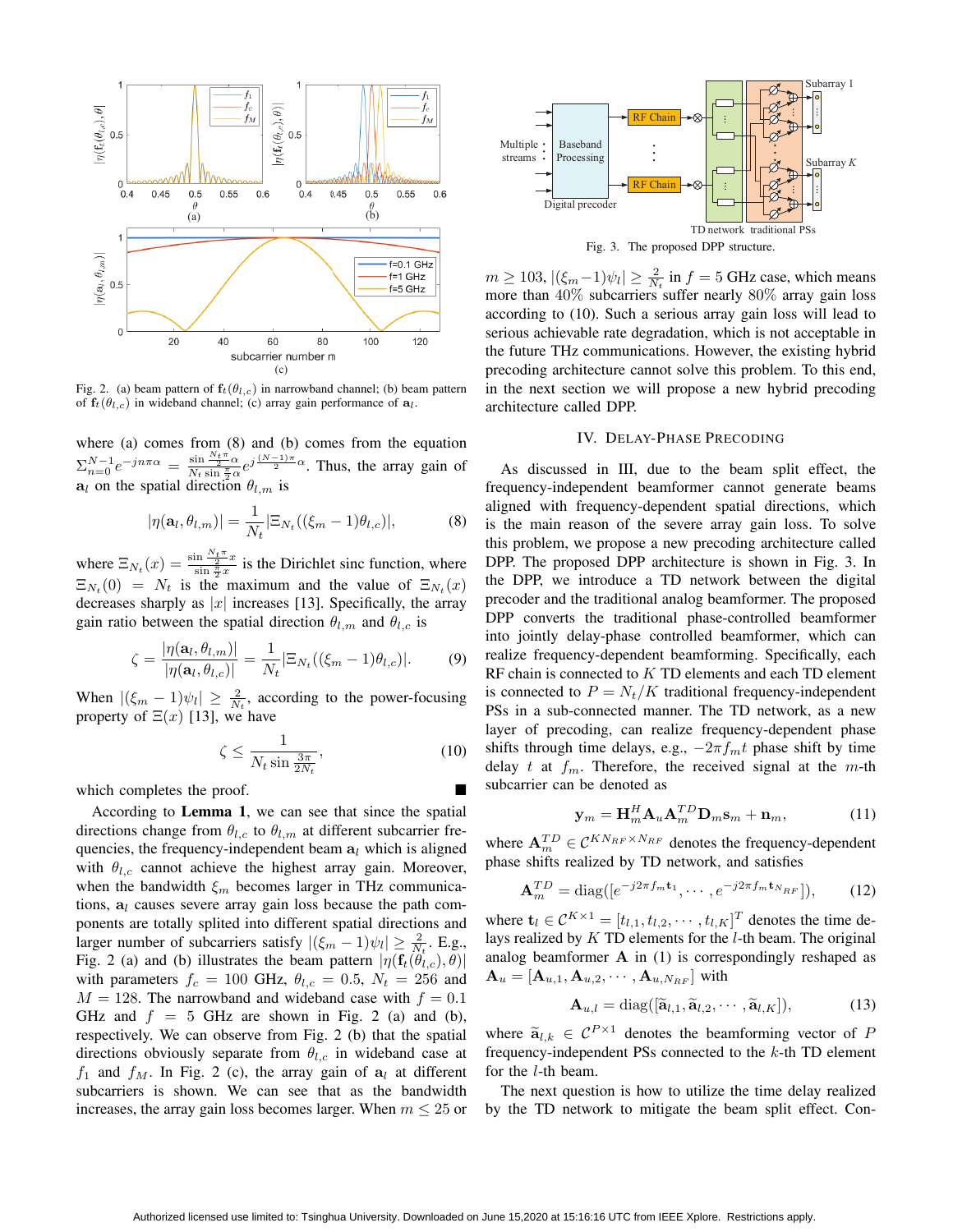

Fig. 2. (a) beam pattern of  $f_t(\theta_{l,c})$  in narrowband channel; (b) beam pattern of  $f_t(\theta_{l,c})$  in wideband channel; (c) array gain performance of  $a_l$ .

where (a) comes from (8) and (b) comes from the equation  $\Sigma_{n=0}^{N-1} e^{-jn\pi\alpha} = \frac{\sin \frac{N_{t}\pi}{2} \alpha}{N_{t} \sin \frac{\pi}{2} \alpha} e^{j\frac{(N-1)\pi}{2} \alpha}$ . Thus, the array gain of  $a_l$  on the spatial direction  $\theta_{l,m}$  is

$$
|\eta(\mathbf{a}_l, \theta_{l,m})| = \frac{1}{N_t} |\Xi_{N_t}((\xi_m - 1)\theta_{l,c})|,
$$
 (8)

where  $\Xi_{N_t}(x) = \frac{\sin \frac{N_t \pi}{2} x}{\sin \frac{\pi}{2} x}$  is the Dirichlet sinc function, where  $\Xi_{N_t}(0) = N_t$  is the maximum and the value of  $\Xi_{N_t}(x)$ decreases sharply as  $|x|$  increases [13]. Specifically, the array gain ratio between the spatial direction  $\theta_{l,m}$  and  $\theta_{l,c}$  is

$$
\zeta = \frac{|\eta(\mathbf{a}_l, \theta_{l,m})|}{|\eta(\mathbf{a}_l, \theta_{l,c})|} = \frac{1}{N_t} |\Xi_{N_t}((\xi_m - 1)\theta_{l,c})|.
$$
 (9)

When  $|(\xi_m - 1)\psi_l| \geq \frac{2}{N_t}$ , according to the power-focusing property of  $\Xi(x)$  [13], we have

$$
\zeta \le \frac{1}{N_t \sin \frac{3\pi}{2N_t}},\tag{10}
$$

which completes the proof.

According to Lemma 1, we can see that since the spatial directions change from  $\theta_{l,c}$  to  $\theta_{l,m}$  at different subcarrier frequencies, the frequency-independent beam **a***<sup>l</sup>* which is aligned with  $\theta_{l,c}$  cannot achieve the highest array gain. Moreover, when the bandwidth *ξ<sup>m</sup>* becomes larger in THz communications, **a***<sup>l</sup>* causes severe array gain loss because the path components are totally splited into different spatial directions and larger number of subcarriers satisfy  $|(\xi_m - 1)\psi_l| \ge \frac{2}{N_t}$ . E.g., Fig. 2 (a) and (b) illustrates the beam pattern  $|\eta(\mathbf{f}_t(\hat{\theta}_{l,c}), \theta)|$ with parameters  $f_c = 100$  GHz,  $\theta_{l,c} = 0.5$ ,  $N_t = 256$  and  $M = 128$ . The narrowband and wideband case with  $f = 0.1$ GHz and  $f = 5$  GHz are shown in Fig. 2 (a) and (b), respectively. We can observe from Fig. 2 (b) that the spatial directions obviously separate from  $\theta_{l,c}$  in wideband case at  $f_1$  and  $f_M$ . In Fig. 2 (c), the array gain of  $a_l$  at different subcarriers is shown. We can see that as the bandwidth increases, the array gain loss becomes larger. When  $m \leq 25$  or



 $m \ge 103$ ,  $|(\xi_m-1)\psi_l| \ge \frac{2}{N_t}$  in  $f = 5$  GHz case, which means more than 40% subcarriers suffer nearly 80% array gain loss according to (10). Such a serious array gain loss will lead to serious achievable rate degradation, which is not acceptable in the future THz communications. However, the existing hybrid precoding architecture cannot solve this problem. To this end, in the next section we will propose a new hybrid precoding architecture called DPP.

## IV. DELAY-PHASE PRECODING

As discussed in III, due to the beam split effect, the frequency-independent beamformer cannot generate beams aligned with frequency-dependent spatial directions, which is the main reason of the severe array gain loss. To solve this problem, we propose a new precoding architecture called DPP. The proposed DPP architecture is shown in Fig. 3. In the DPP, we introduce a TD network between the digital precoder and the traditional analog beamformer. The proposed DPP converts the traditional phase-controlled beamformer into jointly delay-phase controlled beamformer, which can realize frequency-dependent beamforming. Specifically, each RF chain is connected to *K* TD elements and each TD element is connected to  $P = N_t/K$  traditional frequency-independent PSs in a sub-connected manner. The TD network, as a new layer of precoding, can realize frequency-dependent phase shifts through time delays, e.g.,  $-2\pi f_m t$  phase shift by time delay *t* at  $f_m$ . Therefore, the received signal at the *m*-th subcarrier can be denoted as

$$
\mathbf{y}_m = \mathbf{H}_m^H \mathbf{A}_u \mathbf{A}_m^{TD} \mathbf{D}_m \mathbf{s}_m + \mathbf{n}_m, \tag{11}
$$

where  $\mathbf{A}_{m}^{TD} \in \mathcal{C}^{KN_{RF} \times N_{RF}}$  denotes the frequency-dependent phase shifts realized by TD network, and satisfies

$$
\mathbf{A}_{m}^{TD} = \text{diag}([e^{-j2\pi f_m \mathbf{t}_1}, \cdots, e^{-j2\pi f_m \mathbf{t}_{N_{RF}} }]),\qquad(12)
$$

where  $\mathbf{t}_l \in C^{K \times 1} = [t_{l,1}, t_{l,2}, \cdots, t_{l,K}]^T$  denotes the time delays realized by *K* TD elements for the *l*-th beam. The original analog beamformer **A** in (1) is correspondingly reshaped as  ${\bf A}_u = [{\bf A}_{u,1}, {\bf A}_{u,2}, \cdots, {\bf A}_{u,N_{RF}}]$  with

$$
\mathbf{A}_{u,l} = \text{diag}([\widetilde{\mathbf{a}}_{l,1}, \widetilde{\mathbf{a}}_{l,2}, \cdots, \widetilde{\mathbf{a}}_{l,K}]),\tag{13}
$$

where  $\tilde{a}_{l,k} \in C^{P \times 1}$  denotes the beamforming vector of *P* frequency-independent PSs connected to the *k*-th TD element for the *l*-th beam.

The next question is how to utilize the time delay realized by the TD network to mitigate the beam split effect. Con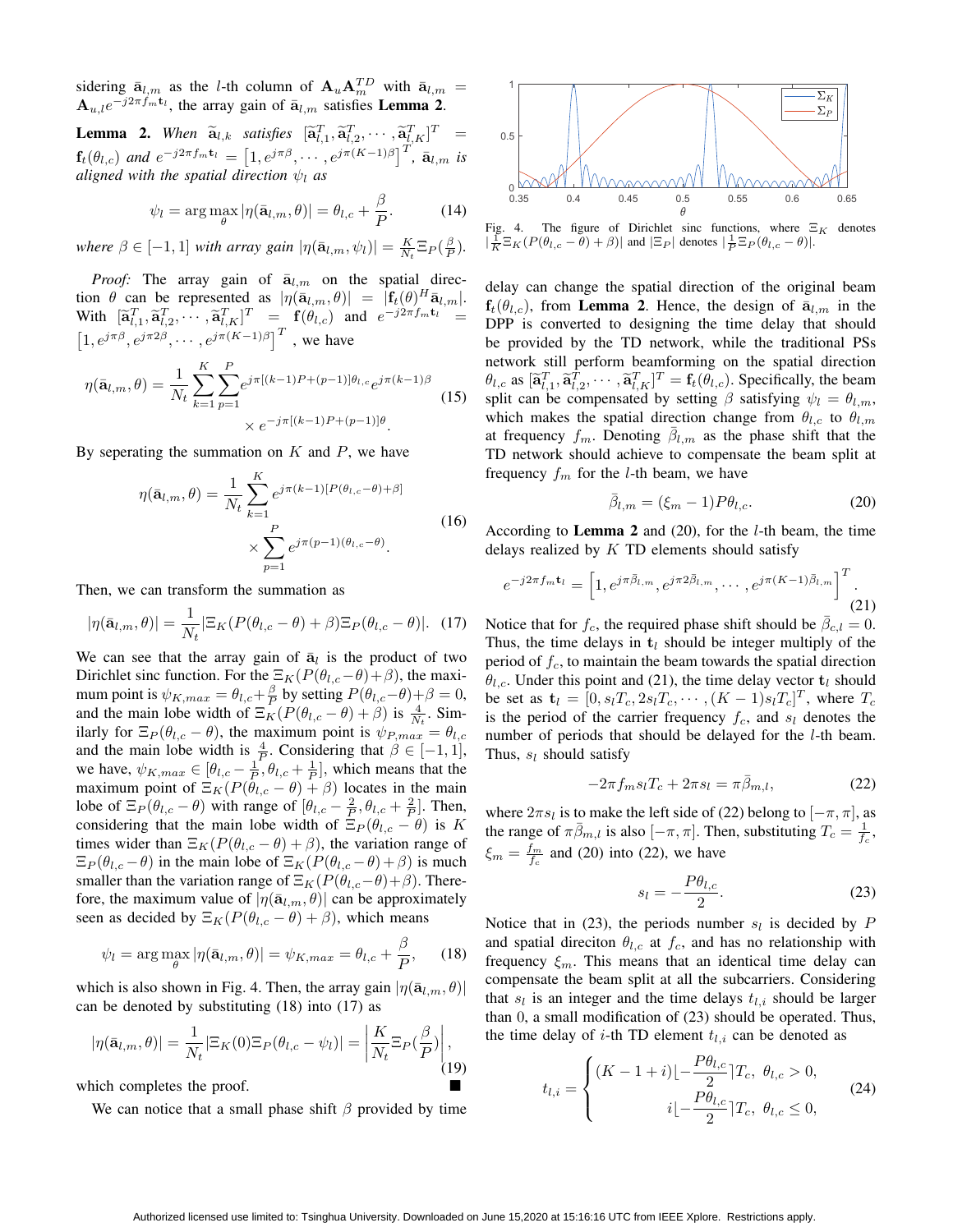sidering  $\bar{\mathbf{a}}_{l,m}$  as the *l*-th column of  $\mathbf{A}_u \mathbf{A}_m^{TD}$  with  $\bar{\mathbf{a}}_{l,m}$  =  $A_{u,l}e^{-j2\pi f_m t_l}$ , the array gain of  $\bar{a}_{l,m}$  satisfies Lemma 2.

**Lemma 2.** When  $\widetilde{a}_{l,k}$  satisfies  $[\widetilde{a}_{l,1}^T, \widetilde{a}_{l,2}^T, \cdots, \widetilde{a}_{l,K}^T]^T$  =  ${\bf f}_t(\theta_{l,c})$  and  $e^{-j2\pi f_m{\bf t}_l} = [1, e^{j\pi\beta}, \cdots, e^{j\pi(K-1)\beta}]^T$ ,  $\bar{{\bf a}}_{l,m}$  is *aligned with the spatial direction ψ<sup>l</sup> as*

$$
\psi_l = \arg \max_{\theta} |\eta(\bar{\mathbf{a}}_{l,m}, \theta)| = \theta_{l,c} + \frac{\beta}{P}.
$$
 (14)

*where*  $\beta \in [-1, 1]$  *with array gain*  $|\eta(\bar{a}_{l,m}, \psi_l)| = \frac{K}{N_t} \mathbb{E}_P(\frac{\beta}{P})$ .

*Proof:* The array gain of  $\bar{a}_{l,m}$  on the spatial direc- $|n(\bar{\mathbf{a}}_{l,m}, \theta)| = |\mathbf{f}_t(\theta)^H \bar{\mathbf{a}}_{l,m}|.$ With  $[\tilde{\mathbf{a}}_{l,1}^T, \tilde{\mathbf{a}}_{l,2}^T, \cdots, \tilde{\mathbf{a}}_{l,K}^T]^T = \mathbf{f}(\theta_{l,c})$  and  $e^{-j2\pi f_m \mathbf{t}_l} =$  $\left[1, e^{j\pi\beta}, e^{j\pi 2\beta}, \cdots, e^{j\pi(K-1)\beta}\right]^T$ , we have

$$
\eta(\bar{\mathbf{a}}_{l,m}, \theta) = \frac{1}{N_t} \sum_{k=1}^{K} \sum_{p=1}^{P} e^{j\pi [(k-1)P + (p-1)]\theta_{l,c}} e^{j\pi (k-1)\beta}
$$
\n
$$
\times e^{-j\pi [(k-1)P + (p-1)]\theta}.
$$
\n(15)

By seperating the summation on *K* and *P*, we have

$$
\eta(\bar{\mathbf{a}}_{l,m}, \theta) = \frac{1}{N_t} \sum_{k=1}^{K} e^{j\pi(k-1)[P(\theta_{l,c}-\theta)+\beta]}
$$

$$
\times \sum_{p=1}^{P} e^{j\pi(p-1)(\theta_{l,c}-\theta)}.
$$
(16)

Then, we can transform the summation as

$$
|\eta(\bar{\mathbf{a}}_{l,m},\theta)| = \frac{1}{N_t} |\Xi_K(P(\theta_{l,c}-\theta) + \beta)\Xi_P(\theta_{l,c}-\theta)|. \tag{17}
$$

We can see that the array gain of  $\bar{a}_l$  is the product of two Dirichlet sinc function. For the  $\Xi_K(P(\theta_{l,c}-\theta)+\beta)$ , the maximum point is  $\psi_{K,max} = \theta_{l,c} + \frac{\beta}{P}$  by setting  $P(\theta_{l,c} - \theta) + \beta = 0$ , and the main lobe width of  $\Xi_K(P(\theta_{l,c} - \theta) + \beta)$  is  $\frac{4}{N_t}$ . Similarly for  $\Xi_P(\theta_{l,c} - \theta)$ , the maximum point is  $\psi_{P,max} = \theta_{l,c}$ and the main lobe width is  $\frac{4}{p}$ . Considering that  $\beta \in [-1, 1]$ , we have,  $\psi_{K,max} \in [\theta_{l,c} - \frac{1}{P}, \theta_{l,c} + \frac{1}{P}]$ , which means that the maximum point of  $\Xi_K(P(\theta_{l,c} - \theta) + \beta)$  locates in the main lobe of  $\Xi_P(\theta_{l,c} - \theta)$  with range of  $[\theta_{l,c} - \frac{2}{P}, \theta_{l,c} + \frac{2}{P}]$ . Then, considering that the main lobe width of  $\mathbb{E}_P(\theta_{l,c} - \theta)$  is *K* times wider than  $\Xi_K(P(\theta_{l,c} - \theta) + \beta)$ , the variation range of  $\Xi_P(\theta_{l,c} - \theta)$  in the main lobe of  $\Xi_K(P(\theta_{l,c} - \theta) + \beta)$  is much smaller than the variation range of  $\Xi_K(P(\theta_{l,c}-\theta)+\beta)$ . Therefore, the maximum value of  $|\eta(\bar{\mathbf{a}}_{l,m}, \theta)|$  can be approximately seen as decided by  $\Xi_K(P(\theta_{l,c} - \theta) + \beta)$ , which means

$$
\psi_l = \arg \max_{\theta} |\eta(\bar{\mathbf{a}}_{l,m}, \theta)| = \psi_{K,max} = \theta_{l,c} + \frac{\beta}{P}, \qquad (18)
$$

which is also shown in Fig. 4. Then, the array gain  $|\eta(\bar{\mathbf{a}}_{l,m},\theta)|$ can be denoted by substituting (18) into (17) as

$$
|\eta(\bar{\mathbf{a}}_{l,m},\theta)| = \frac{1}{N_t} |\Xi_K(0)\Xi_P(\theta_{l,c} - \psi_l)| = \left| \frac{K}{N_t} \Xi_P(\frac{\beta}{P}) \right|, \tag{19}
$$

which completes the proof.

We can notice that a small phase shift  $\beta$  provided by time



Fig. 4. The figure of Dirichlet sinc functions, where Ξ*<sup>K</sup>* denotes  $|\frac{1}{K}\Xi_K(P(\theta_{l,c} - \theta) + \beta)|$  and  $|\Xi_P|$  denotes  $|\frac{1}{P}\Xi_P(\theta_{l,c} - \theta)|$ .

delay can change the spatial direction of the original beam  $f_t(\theta_{l,c})$ , from **Lemma 2.** Hence, the design of  $\bar{a}_{l,m}$  in the DPP is converted to designing the time delay that should be provided by the TD network, while the traditional PSs network still perform beamforming on the spatial direction  $\theta_{l,c}$  as  $[\tilde{\mathbf{a}}_{l,1}^T, \tilde{\mathbf{a}}_{l,2}^T, \cdots, \tilde{\mathbf{a}}_{l,K}^T]^T = \mathbf{f}_t(\theta_{l,c})$ . Specifically, the beam split can be compensated by setting  $\beta$  satisfying  $\psi_l = \theta_{l,m}$ , which makes the spatial direction change from  $\theta_{l,c}$  to  $\theta_{l,m}$ at frequency  $f_m$ . Denoting  $\bar{\beta}_{l,m}$  as the phase shift that the TD network should achieve to compensate the beam split at frequency *f<sup>m</sup>* for the *l*-th beam, we have

$$
\bar{\beta}_{l,m} = (\xi_m - 1)P\theta_{l,c}.
$$
\n(20)

According to Lemma 2 and (20), for the *l*-th beam, the time delays realized by *K* TD elements should satisfy

$$
e^{-j2\pi f_m \mathbf{t}_l} = \left[1, e^{j\pi \bar{\beta}_{l,m}}, e^{j\pi 2\bar{\beta}_{l,m}}, \cdots, e^{j\pi (K-1)\bar{\beta}_{l,m}}\right]^T.
$$
\n(21)

Notice that for  $f_c$ , the required phase shift should be  $\bar{\beta}_{c,l} = 0$ . Thus, the time delays in  $t_l$  should be integer multiply of the period of *fc*, to maintain the beam towards the spatial direction  $\theta_{l,c}$ . Under this point and (21), the time delay vector  $t_l$  should be set as  $\mathbf{t}_l = [0, s_l T_c, 2s_l T_c, \cdots, (K-1)s_l T_c]^T$ , where  $T_c$ is the period of the carrier frequency  $f_c$ , and  $s_l$  denotes the number of periods that should be delayed for the *l*-th beam. Thus, *s<sup>l</sup>* should satisfy

$$
-2\pi f_m s_l T_c + 2\pi s_l = \pi \bar{\beta}_{m,l},\qquad(22)
$$

where  $2\pi s_l$  is to make the left side of (22) belong to  $[-\pi, \pi]$ , as the range of  $\pi \bar{\beta}_{m,l}$  is also  $[-\pi, \pi]$ . Then, substituting  $T_c = \frac{1}{f_c}$ ,  $\xi_m = \frac{f_m}{f_c}$  and (20) into (22), we have

$$
s_l = -\frac{P\theta_{l,c}}{2}.\tag{23}
$$

Notice that in (23), the periods number  $s_l$  is decided by  $P$ and spatial direciton  $\theta_{l,c}$  at  $f_c$ , and has no relationship with frequency  $\xi_m$ . This means that an identical time delay can compensate the beam split at all the subcarriers. Considering that  $s_l$  is an integer and the time delays  $t_{l,i}$  should be larger than 0, a small modification of (23) should be operated. Thus, the time delay of *i*-th TD element  $t_{l,i}$  can be denoted as

$$
t_{l,i} = \begin{cases} (K-1+i)\left[-\frac{P\theta_{l,c}}{2}\right]T_c, & \theta_{l,c} > 0, \\ i\left[-\frac{P\theta_{l,c}}{2}\right]T_c, & \theta_{l,c} \le 0, \end{cases}
$$
(24)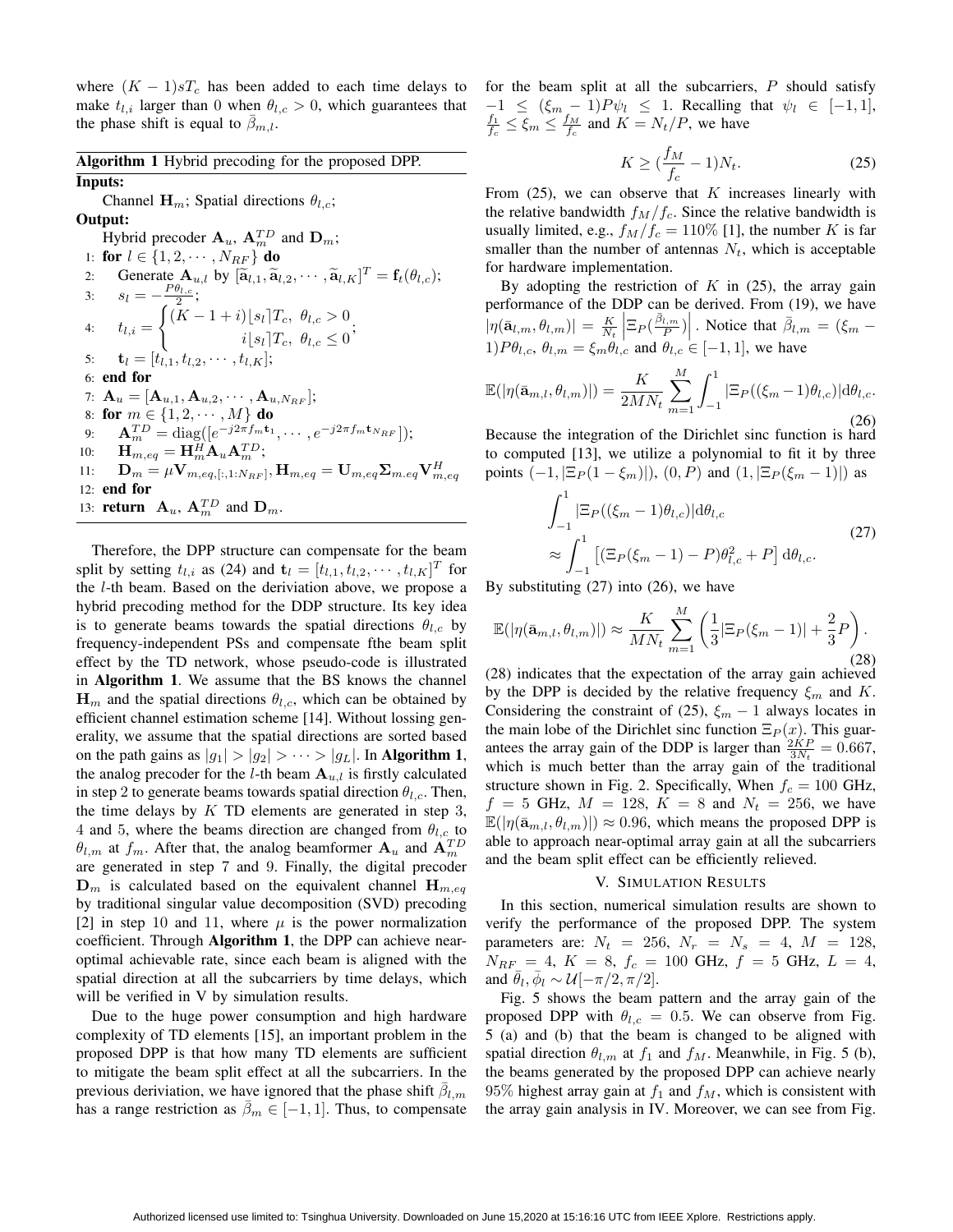where  $(K - 1)sT_c$  has been added to each time delays to make  $t_{l,i}$  larger than 0 when  $\theta_{l,c} > 0$ , which guarantees that the phase shift is equal to  $\beta_{m,l}$ .

Algorithm 1 Hybrid precoding for the proposed DPP. Inputs:

Channel  $\mathbf{H}_m$ ; Spatial directions  $\theta_{l,c}$ ; Output: Hybrid precoder  $\mathbf{A}_u$ ,  $\mathbf{A}_m^{TD}$  and  $\mathbf{D}_m$ ; 1: **for**  $l \in \{1, 2, \cdots, N_{RF}\}\$  do 2: Generate  $\mathbf{A}_{u,l}$  by  $[\widetilde{\mathbf{a}}_{l,1}, \widetilde{\mathbf{a}}_{l,2}, \cdots, \widetilde{\mathbf{a}}_{l,K}]$ Generate  $\mathbf{A}_{u,l}$  by  $[\tilde{\mathbf{a}}_{l,1}, \tilde{\mathbf{a}}_{l,2}, \cdots, \tilde{\mathbf{a}}_{l,K}]^T = \mathbf{f}_t(\theta_{l,c});$ 3:  $s_l = -\frac{P\theta_{l,c}}{2};$ 4:  $t_{l,i} =$  $\int (K-1+i)[s_i]T_c, \theta_{l,c} > 0$  $i[s_l]T_c, \theta_{l,c} \leq 0$ <sup>;</sup> 5:  $\mathbf{t}_l = [t_{l,1}, t_{l,2}, \cdots, t_{l,K}];$ 6: end for 7:  $\mathbf{A}_u = [\mathbf{A}_{u,1}, \mathbf{A}_{u,2}, \cdots, \mathbf{A}_{u,N_{BF}}];$ 8: for  $m \in \{1, 2, \dots, M\}$  do  $\mathbf{A}_{m}^{TD} = \text{diag}([e^{-j2\pi f_m \mathbf{t}_1}, \cdots, e^{-j2\pi f_m \mathbf{t}_{N_{RF}}}]);$ 10:  $\mathbf{H}_{m,eq} = \mathbf{H}_{m}^{H} \mathbf{A}_{u} \mathbf{A}_{m}^{TD};$  $\mathbf{D}_m = \mu \mathbf{V}_{m,eq,[:,1:N_{RF}]}, \mathbf{H}_{m,eq} = \mathbf{U}_{m,eq} \mathbf{\Sigma}_{m,eq} \mathbf{V}_{m,eq}^H$ 12: end for 13: **return**  $\mathbf{A}_u$ ,  $\mathbf{A}_m^{TD}$  and  $\mathbf{D}_m$ .

Therefore, the DPP structure can compensate for the beam split by setting  $t_{l,i}$  as (24) and  $\mathbf{t}_l = [t_{l,1}, t_{l,2}, \cdots, t_{l,K}]^T$  for the *l*-th beam. Based on the deriviation above, we propose a hybrid precoding method for the DDP structure. Its key idea is to generate beams towards the spatial directions  $\theta_{l,c}$  by frequency-independent PSs and compensate fthe beam split effect by the TD network, whose pseudo-code is illustrated in Algorithm 1. We assume that the BS knows the channel  $\mathbf{H}_m$  and the spatial directions  $\theta_{l,c}$ , which can be obtained by efficient channel estimation scheme [14]. Without lossing generality, we assume that the spatial directions are sorted based on the path gains as  $|g_1| > |g_2| > \cdots > |g_L|$ . In Algorithm 1, the analog precoder for the *l*-th beam  $A_{u,l}$  is firstly calculated in step 2 to generate beams towards spatial direction  $\theta_{l,c}$ . Then, the time delays by *K* TD elements are generated in step 3, 4 and 5, where the beams direction are changed from  $\theta_{l,c}$  to  $\theta$ <sup>*l*</sup>,*m*</sub> at *f<sub>m</sub>*. After that, the analog beamformer  $\mathbf{A}_u$  and  $\mathbf{A}_m^{TD}$ are generated in step 7 and 9. Finally, the digital precoder  $\mathbf{D}_m$  is calculated based on the equivalent channel  $\mathbf{H}_{m,eq}$ by traditional singular value decomposition (SVD) precoding [2] in step 10 and 11, where  $\mu$  is the power normalization coefficient. Through Algorithm 1, the DPP can achieve nearoptimal achievable rate, since each beam is aligned with the spatial direction at all the subcarriers by time delays, which will be verified in V by simulation results.

Due to the huge power consumption and high hardware complexity of TD elements [15], an important problem in the proposed DPP is that how many TD elements are sufficient to mitigate the beam split effect at all the subcarriers. In the previous deriviation, we have ignored that the phase shift  $\bar{\beta}_{l,m}$ has a range restriction as  $\bar{\beta}_m \in [-1, 1]$ . Thus, to compensate for the beam split at all the subcarriers, *P* should satisfy  $-1 \leq (\xi_m - 1)P\psi_l \leq 1$ . Recalling that  $\psi_l \in [-1, 1]$ ,  $\frac{f_1}{f_c} \leq \xi_m \leq \frac{f_M}{f_c}$  and  $K = N_t/P$ , we have

$$
K \ge \left(\frac{f_M}{f_c} - 1\right) N_t. \tag{25}
$$

From (25), we can observe that *K* increases linearly with the relative bandwidth  $f_M/f_c$ . Since the relative bandwidth is usually limited, e.g.,  $f_M/f_c = 110\%$  [1], the number *K* is far smaller than the number of antennas  $N_t$ , which is acceptable for hardware implementation.

By adopting the restriction of  $K$  in  $(25)$ , the array gain performance of the DDP can be derived. From (19), we have  $|\eta(\bar{\mathbf{a}}_{l,m},\theta_{l,m})| = \frac{K}{N_t}$  $\left| \Xi_P(\frac{\bar{\beta}_{l,m}}{P}) \right|$ . Notice that  $\bar{\beta}_{l,m} = (\xi_m - \xi_m)$ 1) $P\theta_{l,c}, \theta_{l,m} = \xi_m \theta_{l,c}$  and  $\theta_{l,c} \in [-1,1]$ , we have

$$
\mathbb{E}(|\eta(\bar{\mathbf{a}}_{m,l}, \theta_{l,m})|) = \frac{K}{2MN_t} \sum_{m=1}^{M} \int_{-1}^{1} |\Xi_P((\xi_m - 1)\theta_{l,c})| \mathrm{d}\theta_{l,c}.
$$
\n(26)

Because the integration of the Dirichlet sinc function is hard to computed [13], we utilize a polynomial to fit it by three points  $(-1, |\Xi_P(1-\xi_m)|), (0, P)$  and  $(1, |\Xi_P(\xi_m-1)|)$  as

$$
\int_{-1}^{1} |\Xi_{P}((\xi_{m}-1)\theta_{l,c})|d\theta_{l,c} \n\approx \int_{-1}^{1} [(\Xi_{P}(\xi_{m}-1)-P)\theta_{l,c}^{2}+P] d\theta_{l,c}.
$$
\n(27)

By substituting (27) into (26), we have

$$
\mathbb{E}(|\eta(\bar{\mathbf{a}}_{m,l}, \theta_{l,m})|) \approx \frac{K}{MN_t} \sum_{m=1}^{M} \left(\frac{1}{3} |\Xi_P(\xi_m - 1)| + \frac{2}{3} P\right).
$$
\n(28)

(28) indicates that the expectation of the array gain achieved by the DPP is decided by the relative frequency *ξ<sup>m</sup>* and *K*. Considering the constraint of (25),  $\xi_m - 1$  always locates in the main lobe of the Dirichlet sinc function  $\Xi_P(x)$ . This guarantees the array gain of the DDP is larger than  $\frac{2KP}{3N_t} = 0.667$ , which is much better than the array gain of the traditional structure shown in Fig. 2. Specifically, When  $f_c = 100$  GHz,  $f = 5$  GHz,  $M = 128$ ,  $K = 8$  and  $N_t = 256$ , we have  $\mathbb{E}(|\eta(\bar{\mathbf{a}}_{m,l}, \theta_{l,m})|) \approx 0.96$ , which means the proposed DPP is able to approach near-optimal array gain at all the subcarriers and the beam split effect can be efficiently relieved.

## V. SIMULATION RESULTS

In this section, numerical simulation results are shown to verify the performance of the proposed DPP. The system parameters are:  $N_t = 256$ ,  $N_r = N_s = 4$ ,  $M = 128$ ,  $N_{RF} = 4, K = 8, f_c = 100 \text{ GHz}, f = 5 \text{ GHz}, L = 4,$ and  $\bar{\theta}_l$ ,  $\bar{\phi}_l \sim \mathcal{U}[-\pi/2, \pi/2]$ .

Fig. 5 shows the beam pattern and the array gain of the proposed DPP with  $\theta_{l,c} = 0.5$ . We can observe from Fig. 5 (a) and (b) that the beam is changed to be aligned with spatial direction  $\theta_{l,m}$  at  $f_1$  and  $f_M$ . Meanwhile, in Fig. 5 (b), the beams generated by the proposed DPP can achieve nearly 95% highest array gain at  $f_1$  and  $f_M$ , which is consistent with the array gain analysis in IV. Moreover, we can see from Fig.